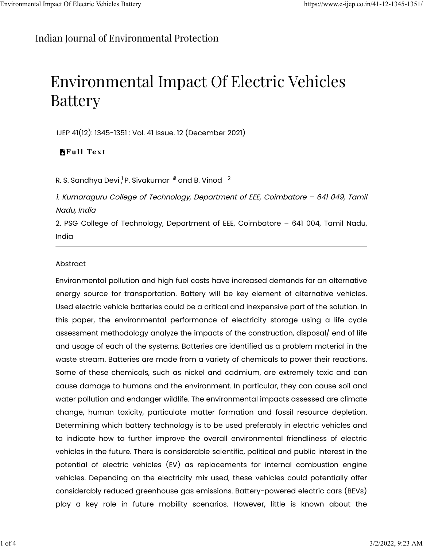## [Indian Journal of Environmental Protection](https://www.e-ijep.co.in/)

# Environmental Impact Of Electric Vehicles Battery

IJEP 41(12): 1345-1351 : Vol. 41 Issue. 12 (December 2021)

### **F**ull Text

R. S. Sandhya Devi<sup>1</sup>, P. Sivakumar  $\frac{2}{3}$  and B. Vinod  $\frac{2}{3}$ 

1. Kumaraguru College of Technology, Department of EEE, Coimbatore – 641 049, Tamil Nadu, India

2. PSG College of Technology, Department of EEE, Coimbatore – 641 004, Tamil Nadu, India

#### Abstract

Environmental pollution and high fuel costs have increased demands for an alternative energy source for transportation. Battery will be key element of alternative vehicles. Used electric vehicle batteries could be a critical and inexpensive part of the solution. In this paper, the environmental performance of electricity storage using a life cycle assessment methodology analyze the impacts of the construction, disposal/ end of life and usage of each of the systems. Batteries are identified as a problem material in the waste stream. Batteries are made from a variety of chemicals to power their reactions. Some of these chemicals, such as nickel and cadmium, are extremely toxic and can cause damage to humans and the environment. In particular, they can cause soil and water pollution and endanger wildlife. The environmental impacts assessed are climate change, human toxicity, particulate matter formation and fossil resource depletion. Determining which battery technology is to be used preferably in electric vehicles and to indicate how to further improve the overall environmental friendliness of electric vehicles in the future. There is considerable scientific, political and public interest in the potential of electric vehicles (EV) as replacements for internal combustion engine vehicles. Depending on the electricity mix used, these vehicles could potentially offer considerably reduced greenhouse gas emissions. Battery-powered electric cars (BEVs) play a key role in future mobility scenarios. However, little is known about the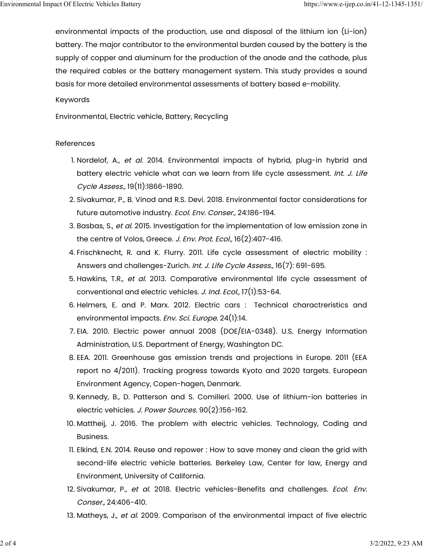environmental impacts of the production, use and disposal of the lithium ion (Li-ion) battery. The major contributor to the environmental burden caused by the battery is the supply of copper and aluminum for the production of the anode and the cathode, plus the required cables or the battery management system. This study provides a sound basis for more detailed environmental assessments of battery based e-mobility.

#### Keywords

Environmental, Electric vehicle, Battery, Recycling

#### References

- 1. Nordelof, A., et al. 2014. Environmental impacts of hybrid, plug-in hybrid and battery electric vehicle what can we learn from life cycle assessment. Int. J. Life Cycle Assess., 19(11):1866-1890.
- 2. Sivakumar, P., B. Vinod and R.S. Devi. 2018. Environmental factor considerations for future automotive industry. Ecol. Env. Conser., 24:186-194.
- 3. Basbas, S., et al. 2015. Investigation for the implementation of low emission zone in the centre of Volos, Greece. J. Env. Prot. Ecol., 16(2):407-416.
- 4. Frischknecht, R. and K. Flurry. 2011. Life cycle assessment of electric mobility : Answers and challenges-Zurich. Int. J. Life Cycle Assess., 16(7): 691-695.
- 5. Hawkins, T.R., et al. 2013. Comparative environmental life cycle assessment of conventional and electric vehicles. J. Ind. Ecol., 17(1):53-64.
- 6. Helmers, E. and P. Marx. 2012. Electric cars : Technical charactreristics and environmental impacts. Env. Sci. Europe. 24(1):14.
- 7. EIA. 2010. Electric power annual 2008 (DOE/EIA-0348). U.S. Energy Information Administration, U.S. Department of Energy, Washington DC.
- 8. EEA. 2011. Greenhouse gas emission trends and projections in Europe. 2011 (EEA report no 4/2011). Tracking progress towards Kyoto and 2020 targets. European Environment Agency, Copen-hagen, Denmark.
- 9. Kennedy, B., D. Patterson and S. Comilleri. 2000. Use of lithium-ion batteries in electric vehicles. J. Power Sources. 90(2):156-162.
- 10. Mattheij, J. 2016. The problem with electric vehicles. Technology, Coding and Business.
- 11. Elkind, E.N. 2014. Reuse and repower : How to save money and clean the grid with second-life electric vehicle batteries. Berkeley Law, Center for law, Energy and Environment, University of California.
- 12. Sivakumar, P., et al. 2018. Electric vehicles-Benefits and challenges. Ecol. Env. Conser., 24:406-410.
- 13. Matheys, J., et al. 2009. Comparison of the environmental impact of five electric